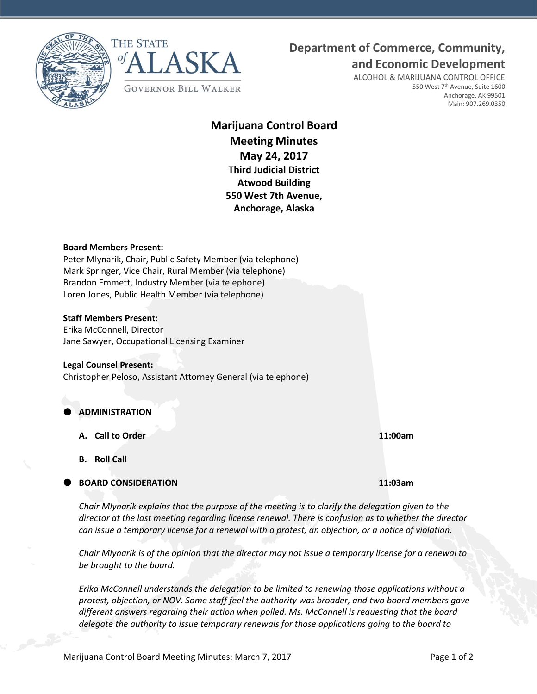



# **Department of Commerce, Community,**

**and Economic Development**

ALCOHOL & MARIJUANA CONTROL OFFICE 550 West 7<sup>th</sup> Avenue, Suite 1600 Anchorage, AK 99501 Main: 907.269.0350

**Marijuana Control Board Meeting Minutes May 24, 2017 Third Judicial District Atwood Building 550 West 7th Avenue, Anchorage, Alaska**

#### **Board Members Present:**

Peter Mlynarik, Chair, Public Safety Member (via telephone) Mark Springer, Vice Chair, Rural Member (via telephone) Brandon Emmett, Industry Member (via telephone) Loren Jones, Public Health Member (via telephone)

#### **Staff Members Present:**

Erika McConnell, Director Jane Sawyer, Occupational Licensing Examiner

#### **Legal Counsel Present:**

Christopher Peloso, Assistant Attorney General (via telephone)

## **ADMINISTRATION**

- **A. Call to Order 11:00am**
- **B. Roll Call**

### **BOARD CONSIDERATION 11:03am**

*Chair Mlynarik explains that the purpose of the meeting is to clarify the delegation given to the director at the last meeting regarding license renewal. There is confusion as to whether the director can issue a temporary license for a renewal with a protest, an objection, or a notice of violation.*

*Chair Mlynarik is of the opinion that the director may not issue a temporary license for a renewal to be brought to the board.*

*Erika McConnell understands the delegation to be limited to renewing those applications without a protest, objection, or NOV. Some staff feel the authority was broader, and two board members gave different answers regarding their action when polled. Ms. McConnell is requesting that the board delegate the authority to issue temporary renewals for those applications going to the board to*